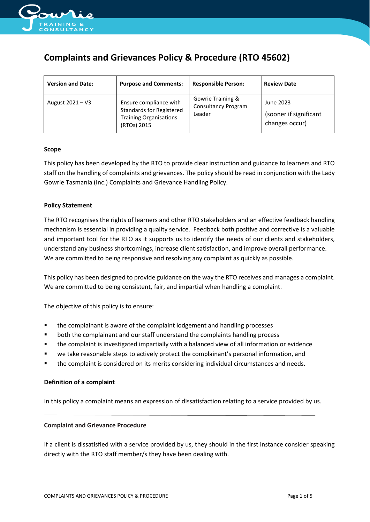

# **Complaints and Grievances Policy & Procedure (RTO 45602)**

| <b>Version and Date:</b> | <b>Purpose and Comments:</b>                                                                              | <b>Responsible Person:</b>                                | <b>Review Date</b>                                    |
|--------------------------|-----------------------------------------------------------------------------------------------------------|-----------------------------------------------------------|-------------------------------------------------------|
| August 2021 - V3         | Ensure compliance with<br><b>Standards for Registered</b><br><b>Training Organisations</b><br>(RTOs) 2015 | Gowrie Training &<br><b>Consultancy Program</b><br>Leader | June 2023<br>(sooner if significant<br>changes occur) |

### **Scope**

This policy has been developed by the RTO to provide clear instruction and guidance to learners and RTO staff on the handling of complaints and grievances. The policy should be read in conjunction with the Lady Gowrie Tasmania (Inc.) Complaints and Grievance Handling Policy.

### **Policy Statement**

The RTO recognises the rights of learners and other RTO stakeholders and an effective feedback handling mechanism is essential in providing a quality service. Feedback both positive and corrective is a valuable and important tool for the RTO as it supports us to identify the needs of our clients and stakeholders, understand any business shortcomings, increase client satisfaction, and improve overall performance. We are committed to being responsive and resolving any complaint as quickly as possible.

This policy has been designed to provide guidance on the way the RTO receives and manages a complaint. We are committed to being consistent, fair, and impartial when handling a complaint.

The objective of this policy is to ensure:

- the complainant is aware of the complaint lodgement and handling processes
- both the complainant and our staff understand the complaints handling process
- the complaint is investigated impartially with a balanced view of all information or evidence
- we take reasonable steps to actively protect the complainant's personal information, and
- the complaint is considered on its merits considering individual circumstances and needs.

## **Definition of a complaint**

In this policy a complaint means an expression of dissatisfaction relating to a service provided by us.

#### **Complaint and Grievance Procedure**

If a client is dissatisfied with a service provided by us, they should in the first instance consider speaking directly with the RTO staff member/s they have been dealing with.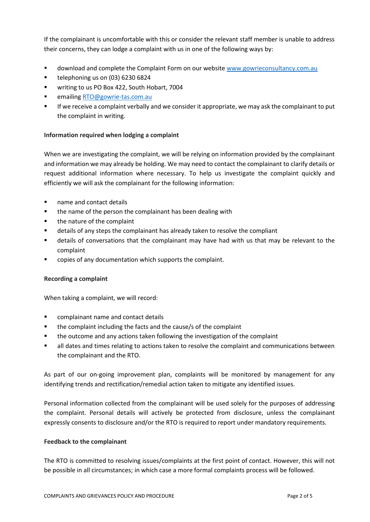If the complainant is uncomfortable with this or consider the relevant staff member is unable to address their concerns, they can lodge a complaint with us in one of the following ways by:

- **■** download and complete the Complaint Form on our websit[e www.gowrieconsultancy.com.au](http://www.gowrieconsultancy.com.au/)
- telephoning us on (03) 6230 6824
- writing to us PO Box 422, South Hobart, 7004
- emailin[g RTO@gowrie-tas.com.au](mailto:RTO@gowrie-tas.com.au)
- If we receive a complaint verbally and we consider it appropriate, we may ask the complainant to put the complaint in writing.

## **Information required when lodging a complaint**

When we are investigating the complaint, we will be relying on information provided by the complainant and information we may already be holding. We may need to contact the complainant to clarify details or request additional information where necessary. To help us investigate the complaint quickly and efficiently we will ask the complainant for the following information:

- name and contact details
- the name of the person the complainant has been dealing with
- the nature of the complaint
- details of any steps the complainant has already taken to resolve the compliant
- details of conversations that the complainant may have had with us that may be relevant to the complaint
- copies of any documentation which supports the complaint.

# **Recording a complaint**

When taking a complaint, we will record:

- complainant name and contact details
- the complaint including the facts and the cause/s of the complaint
- the outcome and any actions taken following the investigation of the complaint
- all dates and times relating to actions taken to resolve the complaint and communications between the complainant and the RTO.

As part of our on-going improvement plan, complaints will be monitored by management for any identifying trends and rectification/remedial action taken to mitigate any identified issues.

Personal information collected from the complainant will be used solely for the purposes of addressing the complaint. Personal details will actively be protected from disclosure, unless the complainant expressly consents to disclosure and/or the RTO is required to report under mandatory requirements.

## **Feedback to the complainant**

The RTO is committed to resolving issues/complaints at the first point of contact. However, this will not be possible in all circumstances; in which case a more formal complaints process will be followed.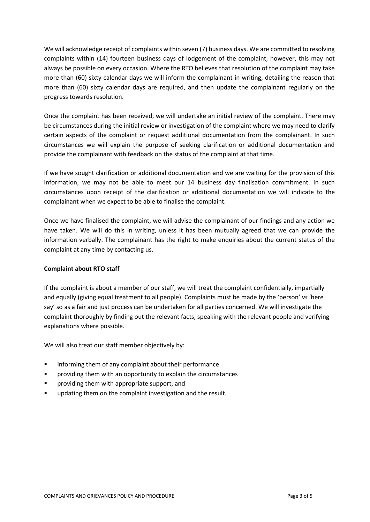We will acknowledge receipt of complaints within seven (7) business days. We are committed to resolving complaints within (14) fourteen business days of lodgement of the complaint, however, this may not always be possible on every occasion. Where the RTO believes that resolution of the complaint may take more than (60) sixty calendar days we will inform the complainant in writing, detailing the reason that more than (60) sixty calendar days are required, and then update the complainant regularly on the progress towards resolution.

Once the complaint has been received, we will undertake an initial review of the complaint. There may be circumstances during the initial review or investigation of the complaint where we may need to clarify certain aspects of the complaint or request additional documentation from the complainant. In such circumstances we will explain the purpose of seeking clarification or additional documentation and provide the complainant with feedback on the status of the complaint at that time.

If we have sought clarification or additional documentation and we are waiting for the provision of this information, we may not be able to meet our 14 business day finalisation commitment. In such circumstances upon receipt of the clarification or additional documentation we will indicate to the complainant when we expect to be able to finalise the complaint.

Once we have finalised the complaint, we will advise the complainant of our findings and any action we have taken. We will do this in writing, unless it has been mutually agreed that we can provide the information verbally. The complainant has the right to make enquiries about the current status of the complaint at any time by contacting us.

# **Complaint about RTO staff**

If the complaint is about a member of our staff, we will treat the complaint confidentially, impartially and equally (giving equal treatment to all people). Complaints must be made by the 'person' *vs* 'here say' so as a fair and just process can be undertaken for all parties concerned. We will investigate the complaint thoroughly by finding out the relevant facts, speaking with the relevant people and verifying explanations where possible.

We will also treat our staff member objectively by:

- informing them of any complaint about their performance
- providing them with an opportunity to explain the circumstances
- providing them with appropriate support, and
- updating them on the complaint investigation and the result.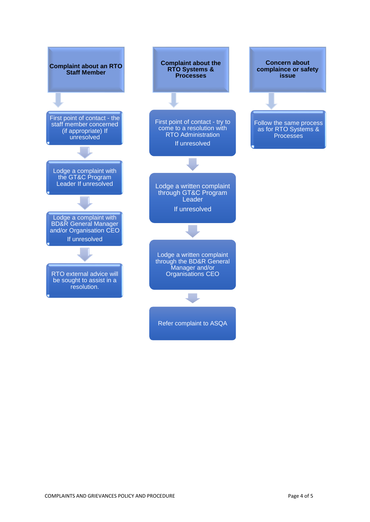